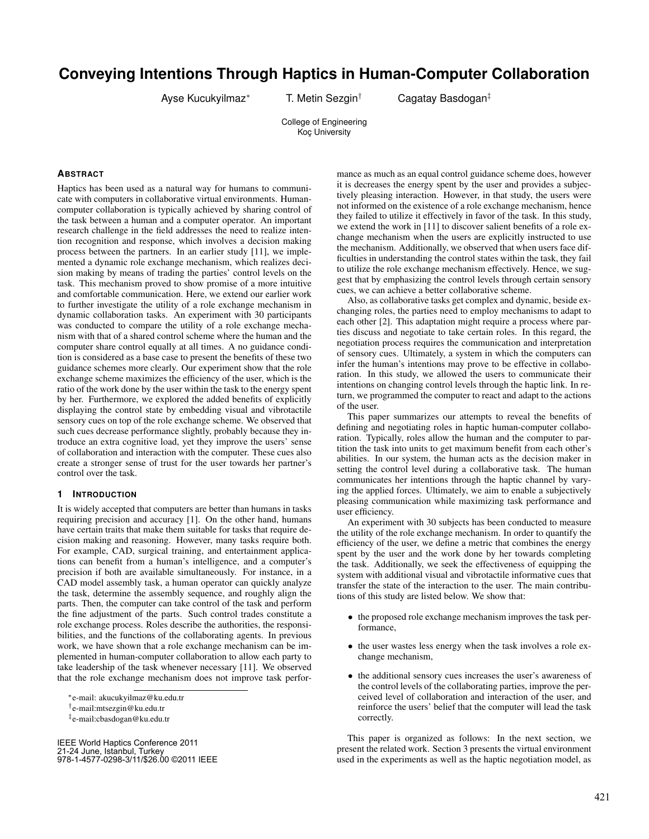# **Conveying Intentions Through Haptics in Human-Computer Collaboration**

Ayse Kucukyilmaz

T. Metin Sezgin<sup>†</sup>

† Cagatay Basdogan ‡

College of Engineering Koc¸ University

# **ABSTRACT**

Haptics has been used as a natural way for humans to communicate with computers in collaborative virtual environments. Humancomputer collaboration is typically achieved by sharing control of the task between a human and a computer operator. An important research challenge in the field addresses the need to realize intention recognition and response, which involves a decision making process between the partners. In an earlier study [11], we implemented a dynamic role exchange mechanism, which realizes decision making by means of trading the parties' control levels on the task. This mechanism proved to show promise of a more intuitive and comfortable communication. Here, we extend our earlier work to further investigate the utility of a role exchange mechanism in dynamic collaboration tasks. An experiment with 30 participants was conducted to compare the utility of a role exchange mechanism with that of a shared control scheme where the human and the computer share control equally at all times. A no guidance condition is considered as a base case to present the benefits of these two guidance schemes more clearly. Our experiment show that the role exchange scheme maximizes the efficiency of the user, which is the ratio of the work done by the user within the task to the energy spent by her. Furthermore, we explored the added benefits of explicitly displaying the control state by embedding visual and vibrotactile sensory cues on top of the role exchange scheme. We observed that such cues decrease performance slightly, probably because they introduce an extra cognitive load, yet they improve the users' sense of collaboration and interaction with the computer. These cues also create a stronger sense of trust for the user towards her partner's control over the task.

#### **1 INTRODUCTION**

It is widely accepted that computers are better than humans in tasks requiring precision and accuracy [1]. On the other hand, humans have certain traits that make them suitable for tasks that require decision making and reasoning. However, many tasks require both. For example, CAD, surgical training, and entertainment applications can benefit from a human's intelligence, and a computer's precision if both are available simultaneously. For instance, in a CAD model assembly task, a human operator can quickly analyze the task, determine the assembly sequence, and roughly align the parts. Then, the computer can take control of the task and perform the fine adjustment of the parts. Such control trades constitute a role exchange process. Roles describe the authorities, the responsibilities, and the functions of the collaborating agents. In previous work, we have shown that a role exchange mechanism can be implemented in human-computer collaboration to allow each party to take leadership of the task whenever necessary [11]. We observed that the role exchange mechanism does not improve task perfor-

IEEE World Haptics Conference 2011 21-24 June, Istanbul, Turkey 978-1-4577-0298-3/11/\$26.00 ©2011 IEEE

mance as much as an equal control guidance scheme does, however it is decreases the energy spent by the user and provides a subjectively pleasing interaction. However, in that study, the users were not informed on the existence of a role exchange mechanism, hence they failed to utilize it effectively in favor of the task. In this study, we extend the work in [11] to discover salient benefits of a role exchange mechanism when the users are explicitly instructed to use the mechanism. Additionally, we observed that when users face difficulties in understanding the control states within the task, they fail to utilize the role exchange mechanism effectively. Hence, we suggest that by emphasizing the control levels through certain sensory cues, we can achieve a better collaborative scheme.

Also, as collaborative tasks get complex and dynamic, beside exchanging roles, the parties need to employ mechanisms to adapt to each other [2]. This adaptation might require a process where parties discuss and negotiate to take certain roles. In this regard, the negotiation process requires the communication and interpretation of sensory cues. Ultimately, a system in which the computers can infer the human's intentions may prove to be effective in collaboration. In this study, we allowed the users to communicate their intentions on changing control levels through the haptic link. In return, we programmed the computer to react and adapt to the actions of the user.

This paper summarizes our attempts to reveal the benefits of defining and negotiating roles in haptic human-computer collaboration. Typically, roles allow the human and the computer to partition the task into units to get maximum benefit from each other's abilities. In our system, the human acts as the decision maker in setting the control level during a collaborative task. The human communicates her intentions through the haptic channel by varying the applied forces. Ultimately, we aim to enable a subjectively pleasing communication while maximizing task performance and user efficiency.

An experiment with 30 subjects has been conducted to measure the utility of the role exchange mechanism. In order to quantify the efficiency of the user, we define a metric that combines the energy spent by the user and the work done by her towards completing the task. Additionally, we seek the effectiveness of equipping the system with additional visual and vibrotactile informative cues that transfer the state of the interaction to the user. The main contributions of this study are listed below. We show that:

- the proposed role exchange mechanism improves the task performance,
- the user wastes less energy when the task involves a role exchange mechanism,
- the additional sensory cues increases the user's awareness of the control levels of the collaborating parties, improve the perceived level of collaboration and interaction of the user, and reinforce the users' belief that the computer will lead the task correctly.

This paper is organized as follows: In the next section, we present the related work. Section 3 presents the virtual environment used in the experiments as well as the haptic negotiation model, as

<sup>∗</sup> e-mail: akucukyilmaz@ku.edu.tr

<sup>†</sup> e-mail:mtsezgin@ku.edu.tr

<sup>‡</sup> e-mail:cbasdogan@ku.edu.tr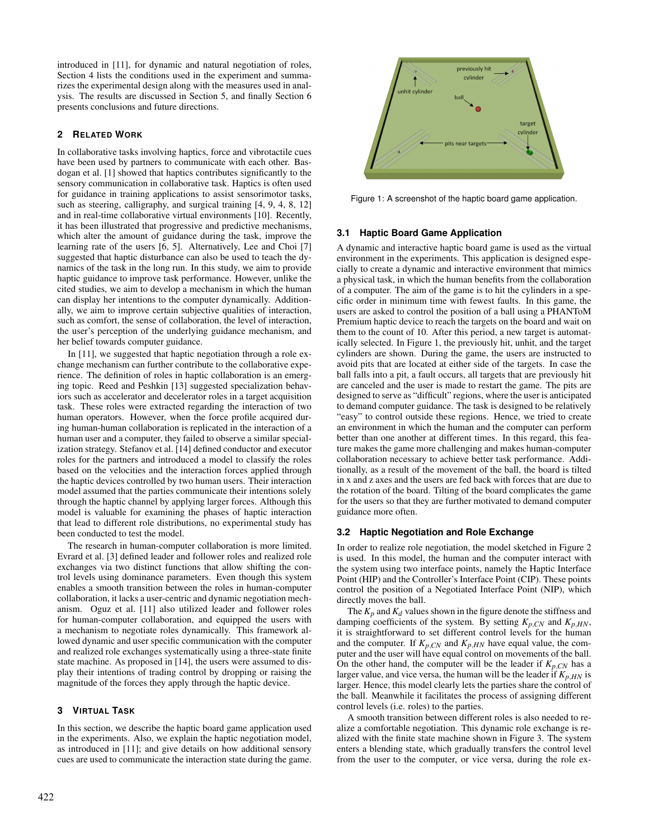introduced in [11], for dynamic and natural negotiation of roles, Section 4 lists the conditions used in the experiment and summarizes the experimental design along with the measures used in analysis. The results are discussed in Section 5, and finally Section 6 presents conclusions and future directions.

# **2 RELATED WORK**

In collaborative tasks involving haptics, force and vibrotactile cues have been used by partners to communicate with each other. Basdogan et al. [1] showed that haptics contributes significantly to the sensory communication in collaborative task. Haptics is often used for guidance in training applications to assist sensorimotor tasks, such as steering, calligraphy, and surgical training [4, 9, 4, 8, 12] and in real-time collaborative virtual environments [10]. Recently, it has been illustrated that progressive and predictive mechanisms, which alter the amount of guidance during the task, improve the learning rate of the users [6, 5]. Alternatively, Lee and Choi [7] suggested that haptic disturbance can also be used to teach the dynamics of the task in the long run. In this study, we aim to provide haptic guidance to improve task performance. However, unlike the cited studies, we aim to develop a mechanism in which the human can display her intentions to the computer dynamically. Additionally, we aim to improve certain subjective qualities of interaction, such as comfort, the sense of collaboration, the level of interaction, the user's perception of the underlying guidance mechanism, and her belief towards computer guidance.

In [11], we suggested that haptic negotiation through a role exchange mechanism can further contribute to the collaborative experience. The definition of roles in haptic collaboration is an emerging topic. Reed and Peshkin [13] suggested specialization behaviors such as accelerator and decelerator roles in a target acquisition task. These roles were extracted regarding the interaction of two human operators. However, when the force profile acquired during human-human collaboration is replicated in the interaction of a human user and a computer, they failed to observe a similar specialization strategy. Stefanov et al. [14] defined conductor and executor roles for the partners and introduced a model to classify the roles based on the velocities and the interaction forces applied through the haptic devices controlled by two human users. Their interaction model assumed that the parties communicate their intentions solely through the haptic channel by applying larger forces. Although this model is valuable for examining the phases of haptic interaction that lead to different role distributions, no experimental study has been conducted to test the model.

The research in human-computer collaboration is more limited. Evrard et al. [3] defined leader and follower roles and realized role exchanges via two distinct functions that allow shifting the control levels using dominance parameters. Even though this system enables a smooth transition between the roles in human-computer collaboration, it lacks a user-centric and dynamic negotiation mechanism. Oguz et al. [11] also utilized leader and follower roles for human-computer collaboration, and equipped the users with a mechanism to negotiate roles dynamically. This framework allowed dynamic and user specific communication with the computer and realized role exchanges systematically using a three-state finite state machine. As proposed in [14], the users were assumed to display their intentions of trading control by dropping or raising the magnitude of the forces they apply through the haptic device.

# **3 VIRTUAL TASK**

In this section, we describe the haptic board game application used in the experiments. Also, we explain the haptic negotiation model, as introduced in [11]; and give details on how additional sensory cues are used to communicate the interaction state during the game.



Figure 1: A screenshot of the haptic board game application.

# **3.1 Haptic Board Game Application**

A dynamic and interactive haptic board game is used as the virtual environment in the experiments. This application is designed especially to create a dynamic and interactive environment that mimics a physical task, in which the human benefits from the collaboration of a computer. The aim of the game is to hit the cylinders in a specific order in minimum time with fewest faults. In this game, the users are asked to control the position of a ball using a PHANToM Premium haptic device to reach the targets on the board and wait on them to the count of 10. After this period, a new target is automatically selected. In Figure 1, the previously hit, unhit, and the target cylinders are shown. During the game, the users are instructed to avoid pits that are located at either side of the targets. In case the ball falls into a pit, a fault occurs, all targets that are previously hit are canceled and the user is made to restart the game. The pits are designed to serve as "difficult" regions, where the user is anticipated to demand computer guidance. The task is designed to be relatively "easy" to control outside these regions. Hence, we tried to create an environment in which the human and the computer can perform better than one another at different times. In this regard, this feature makes the game more challenging and makes human-computer collaboration necessary to achieve better task performance. Additionally, as a result of the movement of the ball, the board is tilted in x and z axes and the users are fed back with forces that are due to the rotation of the board. Tilting of the board complicates the game for the users so that they are further motivated to demand computer guidance more often.

## **3.2 Haptic Negotiation and Role Exchange**

In order to realize role negotiation, the model sketched in Figure 2 is used. In this model, the human and the computer interact with the system using two interface points, namely the Haptic Interface Point (HIP) and the Controller's Interface Point (CIP). These points control the position of a Negotiated Interface Point (NIP), which directly moves the ball.

The  $K_p$  and  $K_d$  values shown in the figure denote the stiffness and damping coefficients of the system. By setting  $K_{p,CN}$  and  $K_{p,HN}$ , it is straightforward to set different control levels for the human and the computer. If  $K_{p,CN}$  and  $K_{p,HN}$  have equal value, the computer and the user will have equal control on movements of the ball. On the other hand, the computer will be the leader if  $K_{p,CN}$  has a larger value, and vice versa, the human will be the leader if  $K_{p,HN}$  is larger. Hence, this model clearly lets the parties share the control of the ball. Meanwhile it facilitates the process of assigning different control levels (i.e. roles) to the parties.

A smooth transition between different roles is also needed to realize a comfortable negotiation. This dynamic role exchange is realized with the finite state machine shown in Figure 3. The system enters a blending state, which gradually transfers the control level from the user to the computer, or vice versa, during the role ex-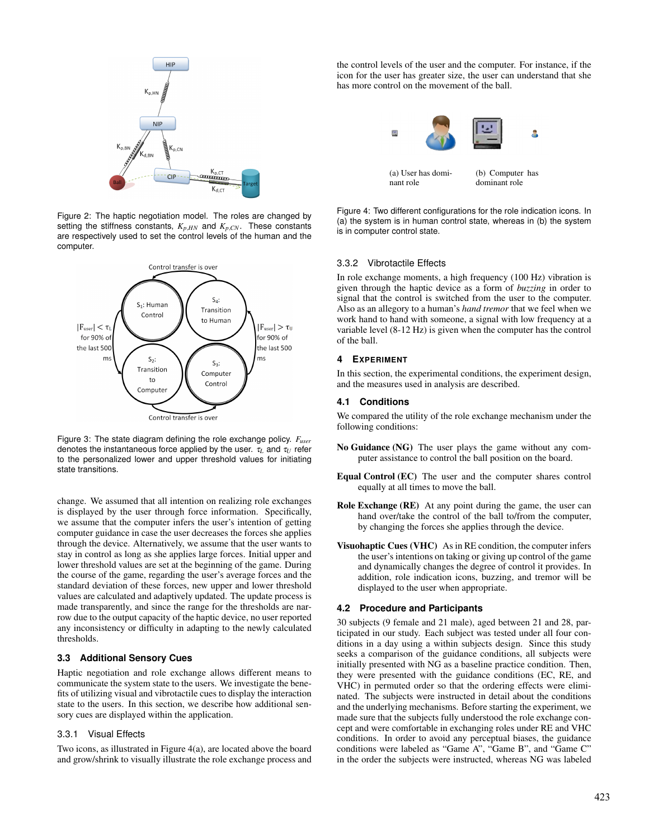

Figure 2: The haptic negotiation model. The roles are changed by setting the stiffness constants,  $K_{p,HN}$  and  $K_{p,CN}$ . These constants are respectively used to set the control levels of the human and the computer.



Figure 3: The state diagram defining the role exchange policy. *Fuser* denotes the instantaneous force applied by the user. τ*<sup>L</sup>* and τ*<sup>U</sup>* refer to the personalized lower and upper threshold values for initiating state transitions.

change. We assumed that all intention on realizing role exchanges is displayed by the user through force information. Specifically, we assume that the computer infers the user's intention of getting computer guidance in case the user decreases the forces she applies through the device. Alternatively, we assume that the user wants to stay in control as long as she applies large forces. Initial upper and lower threshold values are set at the beginning of the game. During the course of the game, regarding the user's average forces and the standard deviation of these forces, new upper and lower threshold values are calculated and adaptively updated. The update process is made transparently, and since the range for the thresholds are narrow due to the output capacity of the haptic device, no user reported any inconsistency or difficulty in adapting to the newly calculated thresholds.

# **3.3 Additional Sensory Cues**

Haptic negotiation and role exchange allows different means to communicate the system state to the users. We investigate the benefits of utilizing visual and vibrotactile cues to display the interaction state to the users. In this section, we describe how additional sensory cues are displayed within the application.

## 3.3.1 Visual Effects

Two icons, as illustrated in Figure 4(a), are located above the board and grow/shrink to visually illustrate the role exchange process and

the control levels of the user and the computer. For instance, if the icon for the user has greater size, the user can understand that she has more control on the movement of the ball.



Figure 4: Two different configurations for the role indication icons. In (a) the system is in human control state, whereas in (b) the system is in computer control state.

### 3.3.2 Vibrotactile Effects

In role exchange moments, a high frequency (100 Hz) vibration is given through the haptic device as a form of *buzzing* in order to signal that the control is switched from the user to the computer. Also as an allegory to a human's *hand tremor* that we feel when we work hand to hand with someone, a signal with low frequency at a variable level (8-12 Hz) is given when the computer has the control of the ball.

#### **4 EXPERIMENT**

In this section, the experimental conditions, the experiment design, and the measures used in analysis are described.

#### **4.1 Conditions**

We compared the utility of the role exchange mechanism under the following conditions:

- No Guidance (NG) The user plays the game without any computer assistance to control the ball position on the board.
- Equal Control (EC) The user and the computer shares control equally at all times to move the ball.
- Role Exchange (RE) At any point during the game, the user can hand over/take the control of the ball to/from the computer, by changing the forces she applies through the device.
- Visuohaptic Cues (VHC) As in RE condition, the computer infers the user's intentions on taking or giving up control of the game and dynamically changes the degree of control it provides. In addition, role indication icons, buzzing, and tremor will be displayed to the user when appropriate.

#### **4.2 Procedure and Participants**

30 subjects (9 female and 21 male), aged between 21 and 28, participated in our study. Each subject was tested under all four conditions in a day using a within subjects design. Since this study seeks a comparison of the guidance conditions, all subjects were initially presented with NG as a baseline practice condition. Then, they were presented with the guidance conditions (EC, RE, and VHC) in permuted order so that the ordering effects were eliminated. The subjects were instructed in detail about the conditions and the underlying mechanisms. Before starting the experiment, we made sure that the subjects fully understood the role exchange concept and were comfortable in exchanging roles under RE and VHC conditions. In order to avoid any perceptual biases, the guidance conditions were labeled as "Game A", "Game B", and "Game C" in the order the subjects were instructed, whereas NG was labeled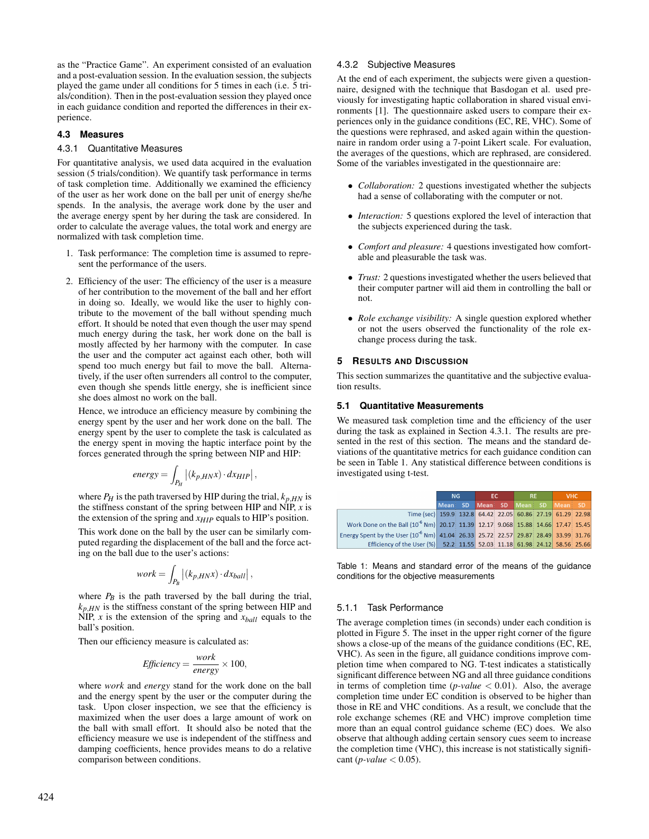as the "Practice Game". An experiment consisted of an evaluation and a post-evaluation session. In the evaluation session, the subjects played the game under all conditions for 5 times in each (i.e. 5 trials/condition). Then in the post-evaluation session they played once in each guidance condition and reported the differences in their experience.

## **4.3 Measures**

#### 4.3.1 Quantitative Measures

For quantitative analysis, we used data acquired in the evaluation session (5 trials/condition). We quantify task performance in terms of task completion time. Additionally we examined the efficiency of the user as her work done on the ball per unit of energy she/he spends. In the analysis, the average work done by the user and the average energy spent by her during the task are considered. In order to calculate the average values, the total work and energy are normalized with task completion time.

- 1. Task performance: The completion time is assumed to represent the performance of the users.
- 2. Efficiency of the user: The efficiency of the user is a measure of her contribution to the movement of the ball and her effort in doing so. Ideally, we would like the user to highly contribute to the movement of the ball without spending much effort. It should be noted that even though the user may spend much energy during the task, her work done on the ball is mostly affected by her harmony with the computer. In case the user and the computer act against each other, both will spend too much energy but fail to move the ball. Alternatively, if the user often surrenders all control to the computer, even though she spends little energy, she is inefficient since she does almost no work on the ball.

Hence, we introduce an efficiency measure by combining the energy spent by the user and her work done on the ball. The energy spent by the user to complete the task is calculated as the energy spent in moving the haptic interface point by the forces generated through the spring between NIP and HIP:

$$
energy = \int_{P_H} |(k_{p,HN}x) \cdot dx_{HIP}|,
$$

where  $P_H$  is the path traversed by HIP during the trial,  $k_{p,HN}$  is the stiffness constant of the spring between HIP and NIP, *x* is the extension of the spring and *xHIP* equals to HIP's position.

This work done on the ball by the user can be similarly computed regarding the displacement of the ball and the force acting on the ball due to the user's actions:

$$
work = \int_{P_B} |(k_{p,HN}x) \cdot dx_{ball}|,
$$

where  $P_B$  is the path traversed by the ball during the trial,  $k_{p,HN}$  is the stiffness constant of the spring between HIP and NIP, *x* is the extension of the spring and  $x_{ball}$  equals to the ball's position.

Then our efficiency measure is calculated as:

$$
Efficiency = \frac{work}{energy} \times 100,
$$

where *work* and *energy* stand for the work done on the ball and the energy spent by the user or the computer during the task. Upon closer inspection, we see that the efficiency is maximized when the user does a large amount of work on the ball with small effort. It should also be noted that the efficiency measure we use is independent of the stiffness and damping coefficients, hence provides means to do a relative comparison between conditions.

# 4.3.2 Subjective Measures

At the end of each experiment, the subjects were given a questionnaire, designed with the technique that Basdogan et al. used previously for investigating haptic collaboration in shared visual environments [1]. The questionnaire asked users to compare their experiences only in the guidance conditions (EC, RE, VHC). Some of the questions were rephrased, and asked again within the questionnaire in random order using a 7-point Likert scale. For evaluation, the averages of the questions, which are rephrased, are considered. Some of the variables investigated in the questionnaire are:

- *Collaboration:* 2 questions investigated whether the subjects had a sense of collaborating with the computer or not.
- *Interaction:* 5 questions explored the level of interaction that the subjects experienced during the task.
- *Comfort and pleasure:* 4 questions investigated how comfortable and pleasurable the task was.
- *Trust:* 2 questions investigated whether the users believed that their computer partner will aid them in controlling the ball or not.
- *Role exchange visibility:* A single question explored whether or not the users observed the functionality of the role exchange process during the task.

# **5 RESULTS AND DISCUSSION**

This section summarizes the quantitative and the subjective evaluation results.

## **5.1 Quantitative Measurements**

We measured task completion time and the efficiency of the user during the task as explained in Section 4.3.1. The results are presented in the rest of this section. The means and the standard deviations of the quantitative metrics for each guidance condition can be seen in Table 1. Any statistical difference between conditions is investigated using t-test.

|                                                                                                 | NG                              |  | EC. |  | <b>RE</b> |  | <b>VHC</b> |  |
|-------------------------------------------------------------------------------------------------|---------------------------------|--|-----|--|-----------|--|------------|--|
|                                                                                                 | Mean SD Mean SD Mean SD Mean SD |  |     |  |           |  |            |  |
| Time (sec) 159.9 132.8 64.42 22.05 60.86 27.19 61.29 22.98                                      |                                 |  |     |  |           |  |            |  |
| Work Done on the Ball (10 <sup>-6</sup> Nm) 20.17 11.39 12.17 9.068 15.88 14.66 17.47 15.45     |                                 |  |     |  |           |  |            |  |
| Energy Spent by the User $(10^{-6} \text{ Nm})$ 41.04 26.33 25.72 22.57 29.87 28.49 33.99 31.76 |                                 |  |     |  |           |  |            |  |
| Efficiency of the User (%) 52.2 11.55 52.03 11.18 61.98 24.12 58.56 25.66                       |                                 |  |     |  |           |  |            |  |

Table 1: Means and standard error of the means of the guidance conditions for the objective measurements

# 5.1.1 Task Performance

The average completion times (in seconds) under each condition is plotted in Figure 5. The inset in the upper right corner of the figure shows a close-up of the means of the guidance conditions (EC, RE, VHC). As seen in the figure, all guidance conditions improve completion time when compared to NG. T-test indicates a statistically significant difference between NG and all three guidance conditions in terms of completion time  $(p-value < 0.01)$ . Also, the average completion time under EC condition is observed to be higher than those in RE and VHC conditions. As a result, we conclude that the role exchange schemes (RE and VHC) improve completion time more than an equal control guidance scheme (EC) does. We also observe that although adding certain sensory cues seem to increase the completion time (VHC), this increase is not statistically significant (*p*-value  $<$  0.05).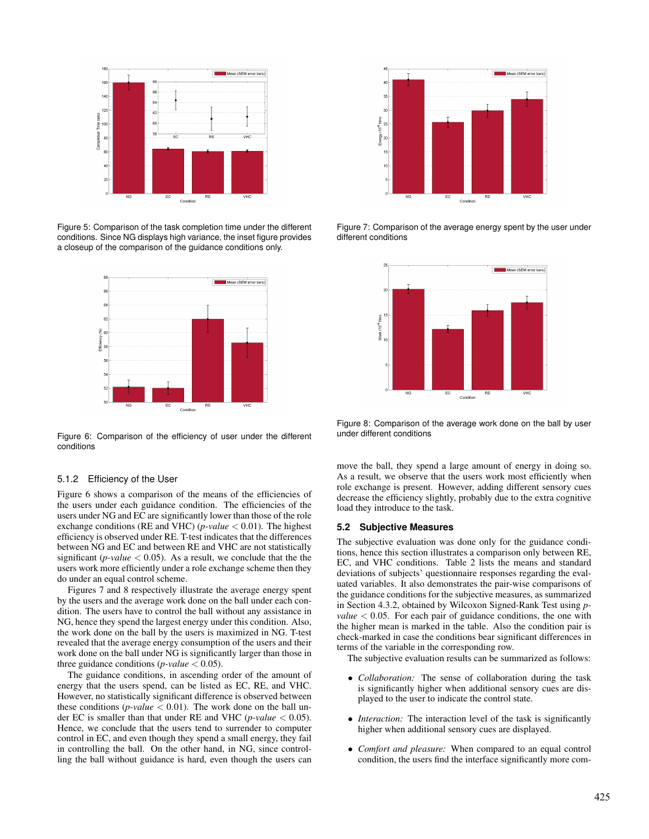

Figure 5: Comparison of the task completion time under the different conditions. Since NG displays high variance, the inset figure provides a closeup of the comparison of the guidance conditions only.



Figure 6: Comparison of the efficiency of user under the different conditions

#### 5.1.2 Efficiency of the User

Figure 6 shows a comparison of the means of the efficiencies of the users under each guidance condition. The efficiencies of the users under NG and EC are significantly lower than those of the role exchange conditions (RE and VHC) (*p-value* < 0.01). The highest efficiency is observed under RE. T-test indicates that the differences between NG and EC and between RE and VHC are not statistically significant ( $p$ -value  $< 0.05$ ). As a result, we conclude that the the users work more efficiently under a role exchange scheme then they do under an equal control scheme.

Figures 7 and 8 respectively illustrate the average energy spent by the users and the average work done on the ball under each condition. The users have to control the ball without any assistance in NG, hence they spend the largest energy under this condition. Also, the work done on the ball by the users is maximized in NG. T-test revealed that the average energy consumption of the users and their work done on the ball under NG is significantly larger than those in three guidance conditions (*p-value* < 0.05).

The guidance conditions, in ascending order of the amount of energy that the users spend, can be listed as EC, RE, and VHC. However, no statistically significant difference is observed between these conditions ( $p$ -value  $< 0.01$ ). The work done on the ball under EC is smaller than that under RE and VHC (*p-value* < 0.05). Hence, we conclude that the users tend to surrender to computer control in EC, and even though they spend a small energy, they fail in controlling the ball. On the other hand, in NG, since controlling the ball without guidance is hard, even though the users can



Figure 7: Comparison of the average energy spent by the user under different conditions



Figure 8: Comparison of the average work done on the ball by user under different conditions

move the ball, they spend a large amount of energy in doing so. As a result, we observe that the users work most efficiently when role exchange is present. However, adding different sensory cues decrease the efficiency slightly, probably due to the extra cognitive load they introduce to the task.

#### **5.2 Subjective Measures**

The subjective evaluation was done only for the guidance conditions, hence this section illustrates a comparison only between RE, EC, and VHC conditions. Table 2 lists the means and standard deviations of subjects' questionnaire responses regarding the evaluated variables. It also demonstrates the pair-wise comparisons of the guidance conditions for the subjective measures, as summarized in Section 4.3.2, obtained by Wilcoxon Signed-Rank Test using *p* $value < 0.05$ . For each pair of guidance conditions, the one with the higher mean is marked in the table. Also the condition pair is check-marked in case the conditions bear significant differences in terms of the variable in the corresponding row.

The subjective evaluation results can be summarized as follows:

- *Collaboration:* The sense of collaboration during the task is significantly higher when additional sensory cues are displayed to the user to indicate the control state.
- *Interaction:* The interaction level of the task is significantly higher when additional sensory cues are displayed.
- *Comfort and pleasure:* When compared to an equal control condition, the users find the interface significantly more com-